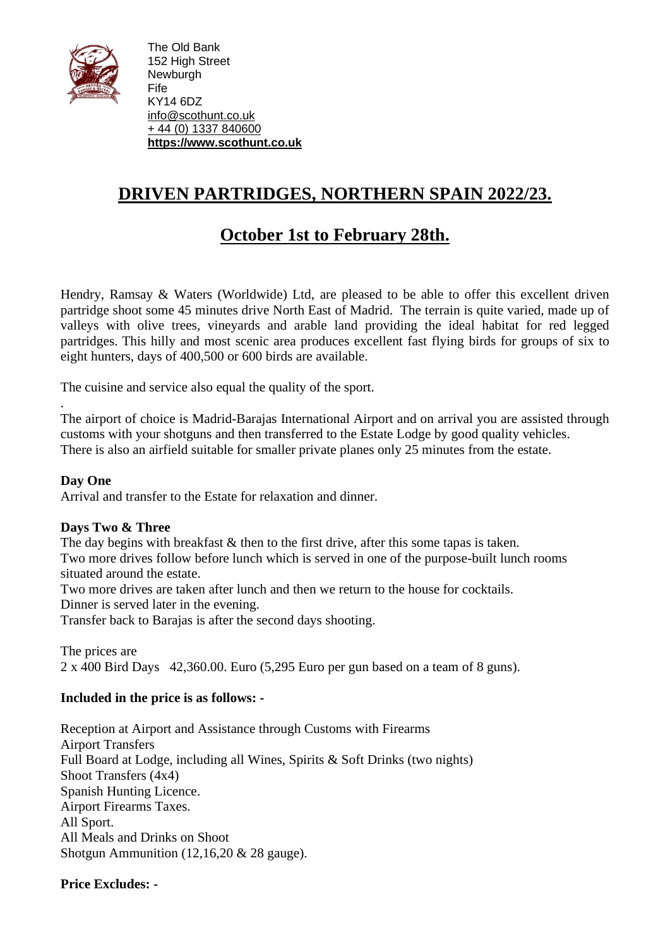

The Old Bank 152 High Street **Newburgh** Fife KY14 6DZ [info@scothunt.co.uk](mailto:info@scothunt.co.uk) + 44 (0) 1337 [840600](tel:+%2044%20(0)%201337%20840600) **[https://www.scothunt.co.uk](https://www.scothunt.co.uk/)**

# **DRIVEN PARTRIDGES, NORTHERN SPAIN 2022/23.**

## **October 1st to February 28th.**

Hendry, Ramsay & Waters (Worldwide) Ltd, are pleased to be able to offer this excellent driven partridge shoot some 45 minutes drive North East of Madrid. The terrain is quite varied, made up of valleys with olive trees, vineyards and arable land providing the ideal habitat for red legged partridges. This hilly and most scenic area produces excellent fast flying birds for groups of six to eight hunters, days of 400,500 or 600 birds are available.

The cuisine and service also equal the quality of the sport.

. The airport of choice is Madrid-Barajas International Airport and on arrival you are assisted through customs with your shotguns and then transferred to the Estate Lodge by good quality vehicles. There is also an airfield suitable for smaller private planes only 25 minutes from the estate.

### **Day One**

Arrival and transfer to the Estate for relaxation and dinner.

### **Days Two & Three**

The day begins with breakfast  $&$  then to the first drive, after this some tapas is taken. Two more drives follow before lunch which is served in one of the purpose-built lunch rooms situated around the estate.

Two more drives are taken after lunch and then we return to the house for cocktails. Dinner is served later in the evening.

Transfer back to Barajas is after the second days shooting.

The prices are 2 x 400 Bird Days 42,360.00. Euro (5,295 Euro per gun based on a team of 8 guns).

### **Included in the price is as follows: -**

Reception at Airport and Assistance through Customs with Firearms Airport Transfers Full Board at Lodge, including all Wines, Spirits & Soft Drinks (two nights) Shoot Transfers (4x4) Spanish Hunting Licence. Airport Firearms Taxes. All Sport. All Meals and Drinks on Shoot Shotgun Ammunition (12,16,20 & 28 gauge).

### **Price Excludes: -**